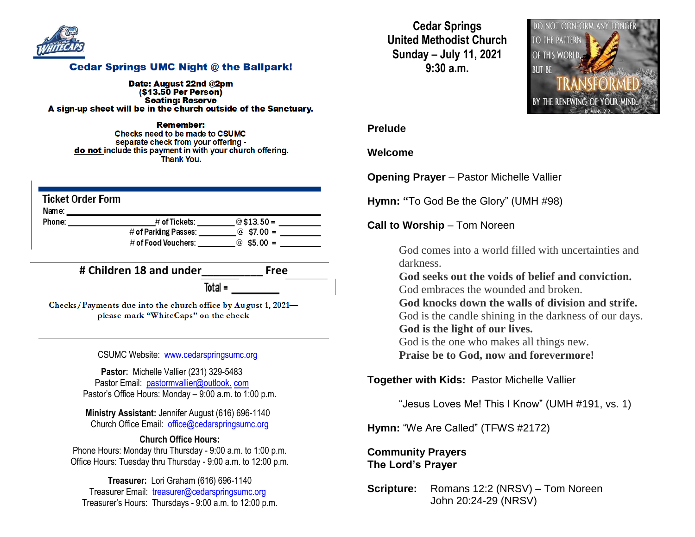

### **Cedar Springs UMC Night @ the Ballpark!**

Date: August 22nd @2pm  $($ \$13.50 Per Person $)$ **Seating: Reserve** A sign-up sheet will be in the church outside of the Sanctuary.

Remember: Checks need to be made to CSUMC separate check from your offering do not include this payment in with your church offering. **Thank You.** 

| <b>Ticket Order Form</b><br>Name: |                         |              |
|-----------------------------------|-------------------------|--------------|
| Phone:                            | $\#$ of Tickets:        | $@$13.50=$   |
|                                   | $\#$ of Parking Passes: | $@$ \$7.00 = |
|                                   | $\#$ of Food Vouchers:  | $@55.00 =$   |

**# Children 18 and under\_\_\_\_\_\_\_\_\_\_ Free**

 $Total =$ 

Checks/Payments due into the church office by August 1, 2021please mark "WhiteCaps" on the check

CSUMC Website: [www.cedarspringsumc.org](http://www.cedarspringsumc.org/)

**Pastor:** Michelle Vallier (231) 329-5483 Pastor Email: [pastormvallier@outlook.](mailto:pastormvallier@outlook.com) com Pastor's Office Hours: Monday – 9:00 a.m. to 1:00 p.m.

**Ministry Assistant:** Jennifer August (616) 696-1140 Church Office Email: [office@cedarspringsumc.org](mailto:office@cedarspringsumc.org)

#### **Church Office Hours:**

Phone Hours: Monday thru Thursday - 9:00 a.m. to 1:00 p.m. Office Hours: Tuesday thru Thursday - 9:00 a.m. to 12:00 p.m.

**Treasurer:** Lori Graham (616) 696-1140 Treasurer Email: treasurer@cedarspringsumc.org Treasurer's Hours: Thursdays - 9:00 a.m. to 12:00 p.m.

**Cedar Springs United Methodist Church Sunday – July 11, 2021 9:30 a.m.**



#### **Prelude**

#### **Welcome**

**Opening Prayer** – Pastor Michelle Vallier

**Hymn: "**To God Be the Glory" (UMH #98)

#### **Call to Worship** – Tom Noreen

God comes into a world filled with uncertainties and darkness.

**God seeks out the voids of belief and conviction.** God embraces the wounded and broken.

**God knocks down the walls of division and strife.**

God is the candle shining in the darkness of our days. **God is the light of our lives.**

God is the one who makes all things new.

**Praise be to God, now and forevermore!**

**Together with Kids:** Pastor Michelle Vallier

"Jesus Loves Me! This I Know" (UMH #191, vs. 1)

**Hymn:** "We Are Called" (TFWS #2172)

### **Community Prayers The Lord's Prayer**

**Scripture:** Romans 12:2 (NRSV) – Tom Noreen John 20:24-29 (NRSV)